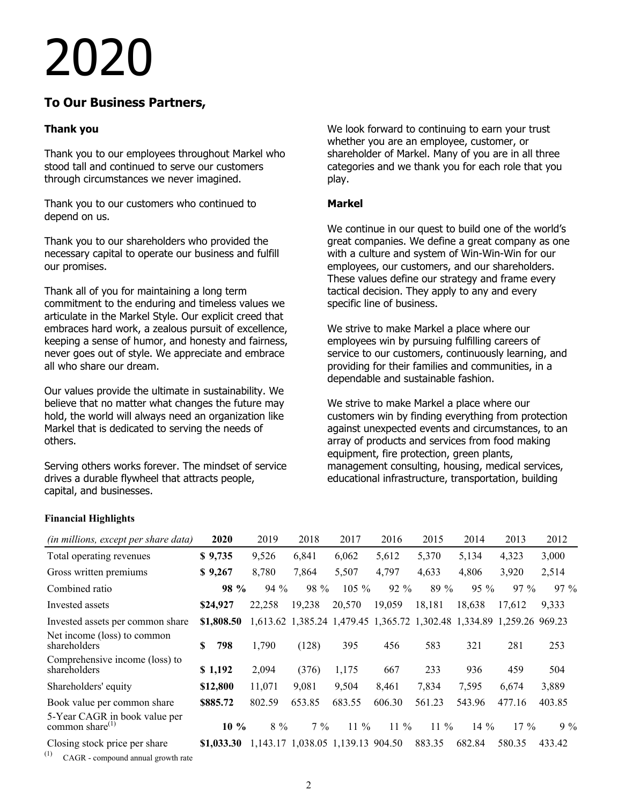# 2020

# **To Our Business Partners,**

# **Thank you**

Thank you to our employees throughout Markel who stood tall and continued to serve our customers through circumstances we never imagined.

Thank you to our customers who continued to depend on us.

Thank you to our shareholders who provided the necessary capital to operate our business and fulfill our promises.

Thank all of you for maintaining a long term commitment to the enduring and timeless values we articulate in the Markel Style. Our explicit creed that embraces hard work, a zealous pursuit of excellence, keeping a sense of humor, and honesty and fairness, never goes out of style. We appreciate and embrace all who share our dream.

Our values provide the ultimate in sustainability. We believe that no matter what changes the future may hold, the world will always need an organization like Markel that is dedicated to serving the needs of others.

Serving others works forever. The mindset of service drives a durable flywheel that attracts people, capital, and businesses.

We look forward to continuing to earn your trust whether you are an employee, customer, or shareholder of Markel. Many of you are in all three categories and we thank you for each role that you play.

# **Markel**

We continue in our quest to build one of the world's great companies. We define a great company as one with a culture and system of Win-Win-Win for our employees, our customers, and our shareholders. These values define our strategy and frame every tactical decision. They apply to any and every specific line of business.

We strive to make Markel a place where our employees win by pursuing fulfilling careers of service to our customers, continuously learning, and providing for their families and communities, in a dependable and sustainable fashion.

We strive to make Markel a place where our customers win by finding everything from protection against unexpected events and circumstances, to an array of products and services from food making equipment, fire protection, green plants, management consulting, housing, medical services, educational infrastructure, transportation, building

# **Financial Highlights**

| (in millions, except per share data)                   | 2020       | 2019   | 2018   | 2017                              | 2016                                                                  | 2015   | 2014   | 2013   | 2012   |
|--------------------------------------------------------|------------|--------|--------|-----------------------------------|-----------------------------------------------------------------------|--------|--------|--------|--------|
| Total operating revenues                               | \$9,735    | 9,526  | 6,841  | 6,062                             | 5,612                                                                 | 5,370  | 5,134  | 4,323  | 3,000  |
| Gross written premiums                                 | \$9,267    | 8,780  | 7,864  | 5,507                             | 4,797                                                                 | 4,633  | 4,806  | 3,920  | 2,514  |
| Combined ratio                                         | 98 %       | $94\%$ | 98 %   | $105 \%$                          | $92\%$                                                                | $89\%$ | $95\%$ | $97\%$ | 97 %   |
| Invested assets                                        | \$24,927   | 22,258 | 19,238 | 20,570                            | 19,059                                                                | 18,181 | 18,638 | 17.612 | 9,333  |
| Invested assets per common share                       | \$1,808.50 |        |        |                                   | 1,613.62 1,385.24 1,479.45 1,365.72 1,302.48 1,334.89 1,259.26 969.23 |        |        |        |        |
| Net income (loss) to common<br>shareholders            | \$<br>798  | 1,790  | (128)  | 395                               | 456                                                                   | 583    | 321    | 281    | 253    |
| Comprehensive income (loss) to<br>shareholders         | \$1,192    | 2,094  | (376)  | 1,175                             | 667                                                                   | 233    | 936    | 459    | 504    |
| Shareholders' equity                                   | \$12,800   | 11,071 | 9,081  | 9,504                             | 8,461                                                                 | 7,834  | 7,595  | 6,674  | 3,889  |
| Book value per common share                            | \$885.72   | 802.59 | 653.85 | 683.55                            | 606.30                                                                | 561.23 | 543.96 | 477.16 | 403.85 |
| 5-Year CAGR in book value per<br>common share $^{(1)}$ | $10\%$     | $8\%$  | $7\%$  | $11\%$                            | $11\%$                                                                | $11\%$ | $14\%$ | $17\%$ | $9\%$  |
| Closing stock price per share                          | \$1,033.30 |        |        | 1,143.17 1,038.05 1,139.13 904.50 |                                                                       | 883.35 | 682.84 | 580.35 | 433.42 |

 $(1)$  CAGR - compound annual growth rate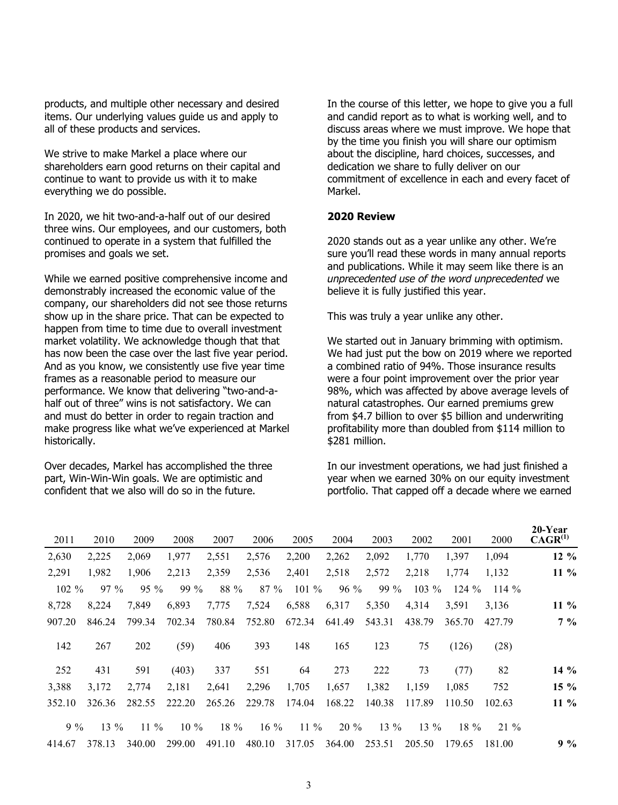products, and multiple other necessary and desired items. Our underlying values guide us and apply to all of these products and services.

We strive to make Markel a place where our shareholders earn good returns on their capital and continue to want to provide us with it to make everything we do possible.

In 2020, we hit two-and-a-half out of our desired three wins. Our employees, and our customers, both continued to operate in a system that fulfilled the promises and goals we set.

While we earned positive comprehensive income and demonstrably increased the economic value of the company, our shareholders did not see those returns show up in the share price. That can be expected to happen from time to time due to overall investment market volatility. We acknowledge though that that has now been the case over the last five year period. And as you know, we consistently use five year time frames as a reasonable period to measure our performance. We know that delivering "two-and-ahalf out of three" wins is not satisfactory. We can and must do better in order to regain traction and make progress like what we've experienced at Markel historically.

Over decades, Markel has accomplished the three part, Win-Win-Win goals. We are optimistic and confident that we also will do so in the future.

In the course of this letter, we hope to give you a full and candid report as to what is working well, and to discuss areas where we must improve. We hope that by the time you finish you will share our optimism about the discipline, hard choices, successes, and dedication we share to fully deliver on our commitment of excellence in each and every facet of Markel.

### **2020 Review**

2020 stands out as a year unlike any other. We're sure you'll read these words in many annual reports and publications. While it may seem like there is an *unprecedented use of the word unprecedented* we believe it is fully justified this year.

This was truly a year unlike any other.

We started out in January brimming with optimism. We had just put the bow on 2019 where we reported a combined ratio of 94%. Those insurance results were a four point improvement over the prior year 98%, which was affected by above average levels of natural catastrophes. Our earned premiums grew from \$4.7 billion to over \$5 billion and underwriting profitability more than doubled from \$114 million to \$281 million.

In our investment operations, we had just finished a year when we earned 30% on our equity investment portfolio. That capped off a decade where we earned

| 2000    | 2001    | 2002    | 2003   | 2004   | 2005    | 2006    | 2007   | 2008   | 2009   | 2010   | 2011     |
|---------|---------|---------|--------|--------|---------|---------|--------|--------|--------|--------|----------|
| 1,094   | 1,397   | 1,770   | 2,092  | 2,262  | 2,200   | 2,576   | 2,551  | 1,977  | 2,069  | 2,225  | 2,630    |
| 1,132   | 1,774   | 2,218   | 2,572  | 2,518  | 2,401   | 2,536   | 2,359  | 2,213  | 1,906  | 1,982  | 2,291    |
| $114\%$ | $124\%$ | $103\%$ | 99 %   | $96\%$ | $101\%$ | $87 \%$ | 88 %   | 99 %   | $95\%$ | $97\%$ | $102 \%$ |
| 3,136   | 3,591   | 4,314   | 5,350  | 6,317  | 6,588   | 7,524   | 7,775  | 6,893  | 7,849  | 8,224  | 8,728    |
| 427.79  | 365.70  | 438.79  | 543.31 | 641.49 | 672.34  | 752.80  | 780.84 | 702.34 | 799.34 | 846.24 | 907.20   |
| (28)    | (126)   | 75      | 123    | 165    | 148     | 393     | 406    | (59)   | 202    | 267    | 142      |
|         | (77)    | 73      | 222    | 273    | 64      | 551     | 337    | (403)  | 591    | 431    | 252      |
| 752     | 1,085   | 1,159   | 1,382  | 1,657  | 1,705   | 2,296   | 2,641  | 2,181  | 2,774  | 3,172  | 3,388    |
| 102.63  | 110.50  | 117.89  | 140.38 | 168.22 | 174.04  | 229.78  | 265.26 | 222.20 | 282.55 | 326.36 | 352.10   |
|         | $18\%$  | $13\%$  | $13\%$ | $20\%$ | $11\%$  | $16\%$  | 18 %   | $10\%$ | $11\%$ | $13\%$ | $9\%$    |
| 181.00  | 179.65  | 205.50  | 253.51 | 364.00 | 317.05  | 480.10  | 491.10 | 299.00 | 340.00 | 378.13 | 414.67   |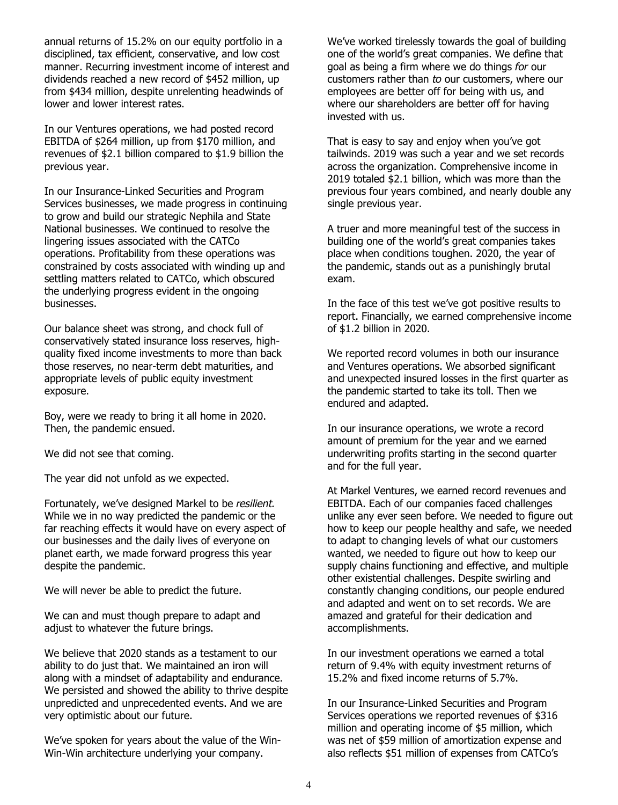annual returns of 15.2% on our equity portfolio in a disciplined, tax efficient, conservative, and low cost manner. Recurring investment income of interest and dividends reached a new record of \$452 million, up from \$434 million, despite unrelenting headwinds of lower and lower interest rates.

In our Ventures operations, we had posted record EBITDA of \$264 million, up from \$170 million, and revenues of \$2.1 billion compared to \$1.9 billion the previous year.

In our Insurance-Linked Securities and Program Services businesses, we made progress in continuing to grow and build our strategic Nephila and State National businesses. We continued to resolve the lingering issues associated with the CATCo operations. Profitability from these operations was constrained by costs associated with winding up and settling matters related to CATCo, which obscured the underlying progress evident in the ongoing businesses.

Our balance sheet was strong, and chock full of conservatively stated insurance loss reserves, highquality fixed income investments to more than back those reserves, no near-term debt maturities, and appropriate levels of public equity investment exposure.

Boy, were we ready to bring it all home in 2020. Then, the pandemic ensued.

We did not see that coming.

The year did not unfold as we expected.

Fortunately, we've designed Markel to be *resilient.* While we in no way predicted the pandemic or the far reaching effects it would have on every aspect of our businesses and the daily lives of everyone on planet earth, we made forward progress this year despite the pandemic.

We will never be able to predict the future.

We can and must though prepare to adapt and adjust to whatever the future brings.

We believe that 2020 stands as a testament to our ability to do just that. We maintained an iron will along with a mindset of adaptability and endurance. We persisted and showed the ability to thrive despite unpredicted and unprecedented events. And we are very optimistic about our future.

We've spoken for years about the value of the Win-Win-Win architecture underlying your company.

We've worked tirelessly towards the goal of building one of the world's great companies. We define that goal as being a firm where we do things *for* our customers rather than *to* our customers, where our employees are better off for being with us, and where our shareholders are better off for having invested with us.

That is easy to say and enjoy when you've got tailwinds. 2019 was such a year and we set records across the organization. Comprehensive income in 2019 totaled \$2.1 billion, which was more than the previous four years combined, and nearly double any single previous year.

A truer and more meaningful test of the success in building one of the world's great companies takes place when conditions toughen. 2020, the year of the pandemic, stands out as a punishingly brutal exam.

In the face of this test we've got positive results to report. Financially, we earned comprehensive income of \$1.2 billion in 2020.

We reported record volumes in both our insurance and Ventures operations. We absorbed significant and unexpected insured losses in the first quarter as the pandemic started to take its toll. Then we endured and adapted.

In our insurance operations, we wrote a record amount of premium for the year and we earned underwriting profits starting in the second quarter and for the full year.

At Markel Ventures, we earned record revenues and EBITDA. Each of our companies faced challenges unlike any ever seen before. We needed to figure out how to keep our people healthy and safe, we needed to adapt to changing levels of what our customers wanted, we needed to figure out how to keep our supply chains functioning and effective, and multiple other existential challenges. Despite swirling and constantly changing conditions, our people endured and adapted and went on to set records. We are amazed and grateful for their dedication and accomplishments.

In our investment operations we earned a total return of 9.4% with equity investment returns of 15.2% and fixed income returns of 5.7%.

In our Insurance-Linked Securities and Program Services operations we reported revenues of \$316 million and operating income of \$5 million, which was net of \$59 million of amortization expense and also reflects \$51 million of expenses from CATCo's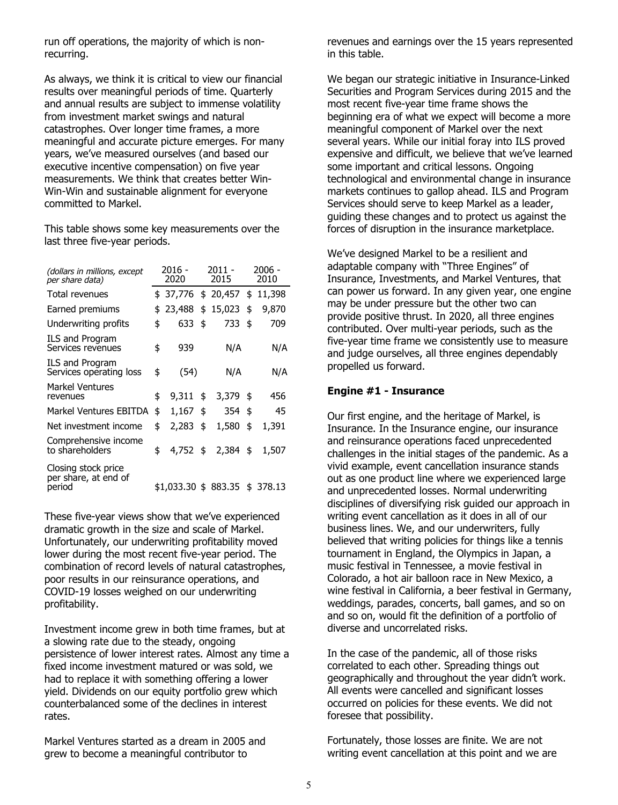run off operations, the majority of which is nonrecurring.

As always, we think it is critical to view our financial results over meaningful periods of time. Quarterly and annual results are subject to immense volatility from investment market swings and natural catastrophes. Over longer time frames, a more meaningful and accurate picture emerges. For many years, we've measured ourselves (and based our executive incentive compensation) on five year measurements. We think that creates better Win-Win-Win and sustainable alignment for everyone committed to Markel.

This table shows some key measurements over the last three five-year periods.

| (dollars in millions, except<br>per share data)       | 2016 -<br>2020 |                                |    | $2011 -$<br>2015 | 2006 -<br>2010 |       |  |
|-------------------------------------------------------|----------------|--------------------------------|----|------------------|----------------|-------|--|
| Total revenues                                        |                | \$ 37,776 \$ 20,457 \$ 11,398  |    |                  |                |       |  |
| Earned premiums                                       | \$             | 23,488                         | \$ | 15,023           | \$             | 9,870 |  |
| Underwriting profits                                  | \$             | 633                            | \$ | 733              | \$             | 709   |  |
| ILS and Program<br>Services revenues                  | \$             | 939                            |    | N/A              |                | N/A   |  |
| ILS and Program<br>Services operating loss            | \$             | (54)                           |    | N/A              |                | N/A   |  |
| <b>Markel Ventures</b><br>revenues                    | \$             | 9,311                          | \$ | 3,379            | - \$           | 456   |  |
| <b>Markel Ventures EBITDA</b>                         | \$             | $1,167$ \$                     |    | 354 \$           |                | 45    |  |
| Net investment income                                 | \$             | 2,283                          | \$ | 1,580            | \$             | 1,391 |  |
| Comprehensive income<br>to shareholders               | \$             | $4,752$ \$                     |    | 2,384            | \$             | 1,507 |  |
| Closing stock price<br>per share, at end of<br>period |                | \$1,033.30 \$ 883.35 \$ 378.13 |    |                  |                |       |  |

These five-year views show that we've experienced dramatic growth in the size and scale of Markel. Unfortunately, our underwriting profitability moved lower during the most recent five-year period. The combination of record levels of natural catastrophes, poor results in our reinsurance operations, and COVID-19 losses weighed on our underwriting profitability.

Investment income grew in both time frames, but at a slowing rate due to the steady, ongoing persistence of lower interest rates. Almost any time a fixed income investment matured or was sold, we had to replace it with something offering a lower yield. Dividends on our equity portfolio grew which counterbalanced some of the declines in interest rates.

Markel Ventures started as a dream in 2005 and grew to become a meaningful contributor to

revenues and earnings over the 15 years represented in this table.

We began our strategic initiative in Insurance-Linked Securities and Program Services during 2015 and the most recent five-year time frame shows the beginning era of what we expect will become a more meaningful component of Markel over the next several years. While our initial foray into ILS proved expensive and difficult, we believe that we've learned some important and critical lessons. Ongoing technological and environmental change in insurance markets continues to gallop ahead. ILS and Program Services should serve to keep Markel as a leader, guiding these changes and to protect us against the forces of disruption in the insurance marketplace.

We've designed Markel to be a resilient and adaptable company with "Three Engines" of Insurance, Investments, and Markel Ventures, that can power us forward. In any given year, one engine may be under pressure but the other two can provide positive thrust. In 2020, all three engines contributed. Over multi-year periods, such as the five-year time frame we consistently use to measure and judge ourselves, all three engines dependably propelled us forward.

### **Engine #1 - Insurance**

Our first engine, and the heritage of Markel, is Insurance. In the Insurance engine, our insurance and reinsurance operations faced unprecedented challenges in the initial stages of the pandemic. As a vivid example, event cancellation insurance stands out as one product line where we experienced large and unprecedented losses. Normal underwriting disciplines of diversifying risk guided our approach in writing event cancellation as it does in all of our business lines. We, and our underwriters, fully believed that writing policies for things like a tennis tournament in England, the Olympics in Japan, a music festival in Tennessee, a movie festival in Colorado, a hot air balloon race in New Mexico, a wine festival in California, a beer festival in Germany, weddings, parades, concerts, ball games, and so on and so on, would fit the definition of a portfolio of diverse and uncorrelated risks.

In the case of the pandemic, all of those risks correlated to each other. Spreading things out geographically and throughout the year didn't work. All events were cancelled and significant losses occurred on policies for these events. We did not foresee that possibility.

Fortunately, those losses are finite. We are not writing event cancellation at this point and we are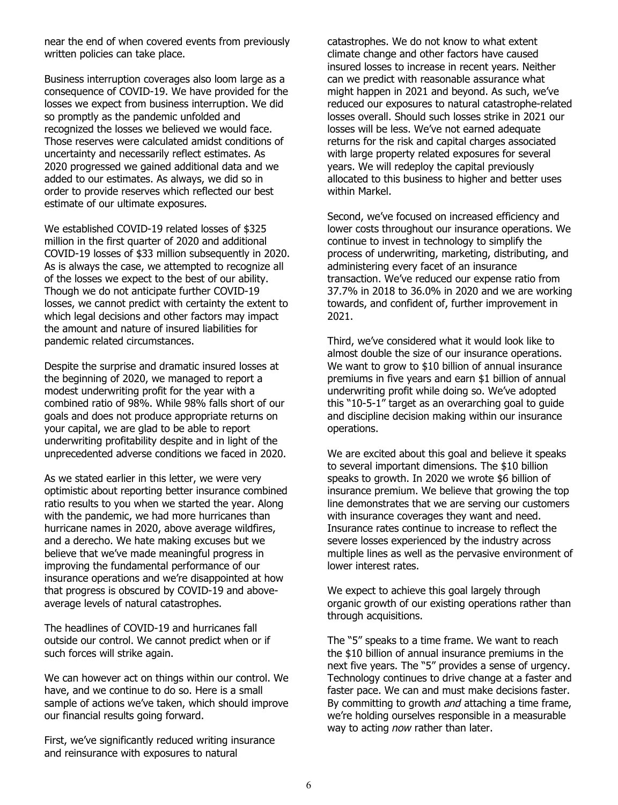near the end of when covered events from previously written policies can take place.

Business interruption coverages also loom large as a consequence of COVID-19. We have provided for the losses we expect from business interruption. We did so promptly as the pandemic unfolded and recognized the losses we believed we would face. Those reserves were calculated amidst conditions of uncertainty and necessarily reflect estimates. As 2020 progressed we gained additional data and we added to our estimates. As always, we did so in order to provide reserves which reflected our best estimate of our ultimate exposures.

We established COVID-19 related losses of \$325 million in the first quarter of 2020 and additional COVID-19 losses of \$33 million subsequently in 2020. As is always the case, we attempted to recognize all of the losses we expect to the best of our ability. Though we do not anticipate further COVID-19 losses, we cannot predict with certainty the extent to which legal decisions and other factors may impact the amount and nature of insured liabilities for pandemic related circumstances.

Despite the surprise and dramatic insured losses at the beginning of 2020, we managed to report a modest underwriting profit for the year with a combined ratio of 98%. While 98% falls short of our goals and does not produce appropriate returns on your capital, we are glad to be able to report underwriting profitability despite and in light of the unprecedented adverse conditions we faced in 2020.

As we stated earlier in this letter, we were very optimistic about reporting better insurance combined ratio results to you when we started the year. Along with the pandemic, we had more hurricanes than hurricane names in 2020, above average wildfires, and a derecho. We hate making excuses but we believe that we've made meaningful progress in improving the fundamental performance of our insurance operations and we're disappointed at how that progress is obscured by COVID-19 and aboveaverage levels of natural catastrophes.

The headlines of COVID-19 and hurricanes fall outside our control. We cannot predict when or if such forces will strike again.

We can however act on things within our control. We have, and we continue to do so. Here is a small sample of actions we've taken, which should improve our financial results going forward.

First, we've significantly reduced writing insurance and reinsurance with exposures to natural

catastrophes. We do not know to what extent climate change and other factors have caused insured losses to increase in recent years. Neither can we predict with reasonable assurance what might happen in 2021 and beyond. As such, we've reduced our exposures to natural catastrophe-related losses overall. Should such losses strike in 2021 our losses will be less. We've not earned adequate returns for the risk and capital charges associated with large property related exposures for several years. We will redeploy the capital previously allocated to this business to higher and better uses within Markel.

Second, we've focused on increased efficiency and lower costs throughout our insurance operations. We continue to invest in technology to simplify the process of underwriting, marketing, distributing, and administering every facet of an insurance transaction. We've reduced our expense ratio from 37.7% in 2018 to 36.0% in 2020 and we are working towards, and confident of, further improvement in 2021.

Third, we've considered what it would look like to almost double the size of our insurance operations. We want to grow to \$10 billion of annual insurance premiums in five years and earn \$1 billion of annual underwriting profit while doing so. We've adopted this "10-5-1" target as an overarching goal to guide and discipline decision making within our insurance operations.

We are excited about this goal and believe it speaks to several important dimensions. The \$10 billion speaks to growth. In 2020 we wrote \$6 billion of insurance premium. We believe that growing the top line demonstrates that we are serving our customers with insurance coverages they want and need. Insurance rates continue to increase to reflect the severe losses experienced by the industry across multiple lines as well as the pervasive environment of lower interest rates.

We expect to achieve this goal largely through organic growth of our existing operations rather than through acquisitions.

The "5" speaks to a time frame. We want to reach the \$10 billion of annual insurance premiums in the next five years. The "5" provides a sense of urgency. Technology continues to drive change at a faster and faster pace. We can and must make decisions faster. By committing to growth *and* attaching a time frame, we're holding ourselves responsible in a measurable way to acting *now* rather than later.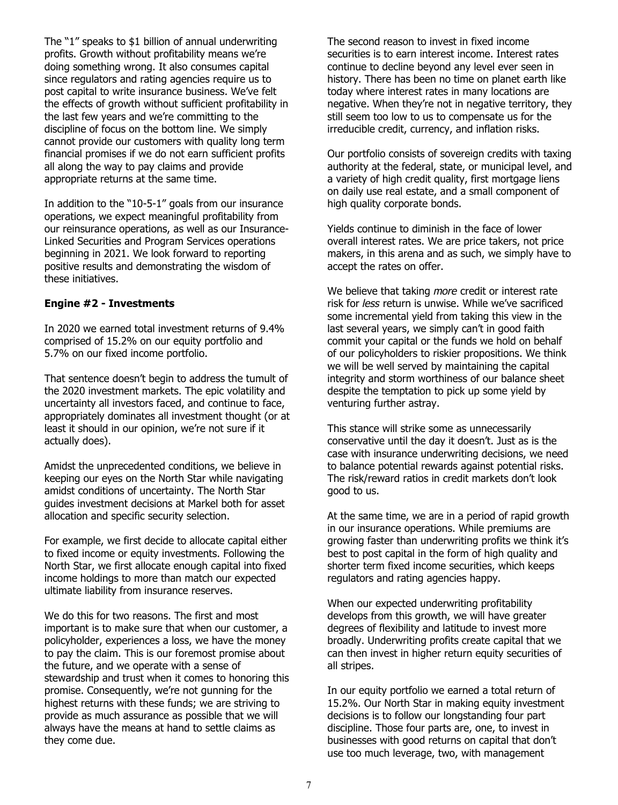The "1" speaks to \$1 billion of annual underwriting profits. Growth without profitability means we're doing something wrong. It also consumes capital since regulators and rating agencies require us to post capital to write insurance business. We've felt the effects of growth without sufficient profitability in the last few years and we're committing to the discipline of focus on the bottom line. We simply cannot provide our customers with quality long term financial promises if we do not earn sufficient profits all along the way to pay claims and provide appropriate returns at the same time.

In addition to the "10-5-1" goals from our insurance operations, we expect meaningful profitability from our reinsurance operations, as well as our Insurance-Linked Securities and Program Services operations beginning in 2021. We look forward to reporting positive results and demonstrating the wisdom of these initiatives.

### **Engine #2 - Investments**

In 2020 we earned total investment returns of 9.4% comprised of 15.2% on our equity portfolio and 5.7% on our fixed income portfolio.

That sentence doesn't begin to address the tumult of the 2020 investment markets. The epic volatility and uncertainty all investors faced, and continue to face, appropriately dominates all investment thought (or at least it should in our opinion, we're not sure if it actually does).

Amidst the unprecedented conditions, we believe in keeping our eyes on the North Star while navigating amidst conditions of uncertainty. The North Star guides investment decisions at Markel both for asset allocation and specific security selection.

For example, we first decide to allocate capital either to fixed income or equity investments. Following the North Star, we first allocate enough capital into fixed income holdings to more than match our expected ultimate liability from insurance reserves.

We do this for two reasons. The first and most important is to make sure that when our customer, a policyholder, experiences a loss, we have the money to pay the claim. This is our foremost promise about the future, and we operate with a sense of stewardship and trust when it comes to honoring this promise. Consequently, we're not gunning for the highest returns with these funds; we are striving to provide as much assurance as possible that we will always have the means at hand to settle claims as they come due.

The second reason to invest in fixed income securities is to earn interest income. Interest rates continue to decline beyond any level ever seen in history. There has been no time on planet earth like today where interest rates in many locations are negative. When they're not in negative territory, they still seem too low to us to compensate us for the irreducible credit, currency, and inflation risks.

Our portfolio consists of sovereign credits with taxing authority at the federal, state, or municipal level, and a variety of high credit quality, first mortgage liens on daily use real estate, and a small component of high quality corporate bonds.

Yields continue to diminish in the face of lower overall interest rates. We are price takers, not price makers, in this arena and as such, we simply have to accept the rates on offer.

We believe that taking *more* credit or interest rate risk for *less* return is unwise. While we've sacrificed some incremental yield from taking this view in the last several years, we simply can't in good faith commit your capital or the funds we hold on behalf of our policyholders to riskier propositions. We think we will be well served by maintaining the capital integrity and storm worthiness of our balance sheet despite the temptation to pick up some yield by venturing further astray.

This stance will strike some as unnecessarily conservative until the day it doesn't. Just as is the case with insurance underwriting decisions, we need to balance potential rewards against potential risks. The risk/reward ratios in credit markets don't look good to us.

At the same time, we are in a period of rapid growth in our insurance operations. While premiums are growing faster than underwriting profits we think it's best to post capital in the form of high quality and shorter term fixed income securities, which keeps regulators and rating agencies happy.

When our expected underwriting profitability develops from this growth, we will have greater degrees of flexibility and latitude to invest more broadly. Underwriting profits create capital that we can then invest in higher return equity securities of all stripes.

In our equity portfolio we earned a total return of 15.2%. Our North Star in making equity investment decisions is to follow our longstanding four part discipline. Those four parts are, one, to invest in businesses with good returns on capital that don't use too much leverage, two, with management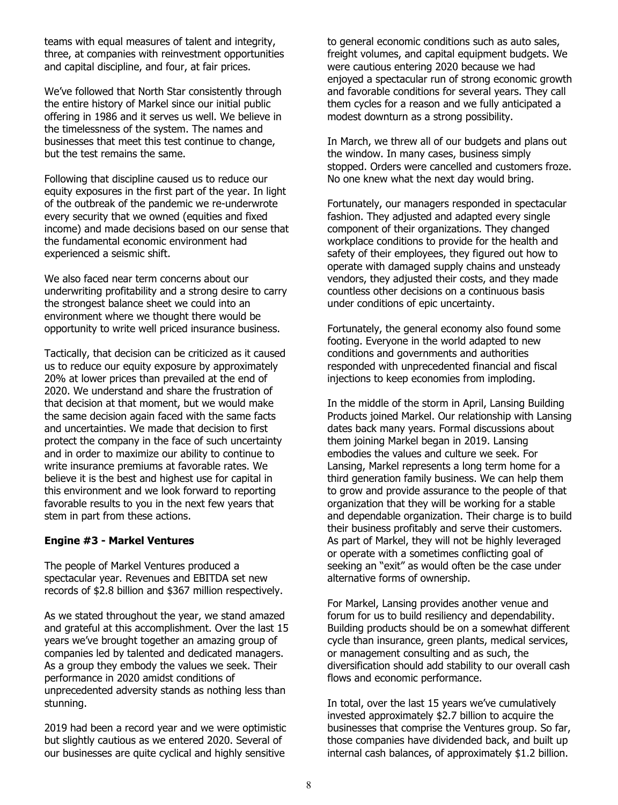teams with equal measures of talent and integrity, three, at companies with reinvestment opportunities and capital discipline, and four, at fair prices.

We've followed that North Star consistently through the entire history of Markel since our initial public offering in 1986 and it serves us well. We believe in the timelessness of the system. The names and businesses that meet this test continue to change, but the test remains the same.

Following that discipline caused us to reduce our equity exposures in the first part of the year. In light of the outbreak of the pandemic we re-underwrote every security that we owned (equities and fixed income) and made decisions based on our sense that the fundamental economic environment had experienced a seismic shift.

We also faced near term concerns about our underwriting profitability and a strong desire to carry the strongest balance sheet we could into an environment where we thought there would be opportunity to write well priced insurance business.

Tactically, that decision can be criticized as it caused us to reduce our equity exposure by approximately 20% at lower prices than prevailed at the end of 2020. We understand and share the frustration of that decision at that moment, but we would make the same decision again faced with the same facts and uncertainties. We made that decision to first protect the company in the face of such uncertainty and in order to maximize our ability to continue to write insurance premiums at favorable rates. We believe it is the best and highest use for capital in this environment and we look forward to reporting favorable results to you in the next few years that stem in part from these actions.

### **Engine #3 - Markel Ventures**

The people of Markel Ventures produced a spectacular year. Revenues and EBITDA set new records of \$2.8 billion and \$367 million respectively.

As we stated throughout the year, we stand amazed and grateful at this accomplishment. Over the last 15 years we've brought together an amazing group of companies led by talented and dedicated managers. As a group they embody the values we seek. Their performance in 2020 amidst conditions of unprecedented adversity stands as nothing less than stunning.

2019 had been a record year and we were optimistic but slightly cautious as we entered 2020. Several of our businesses are quite cyclical and highly sensitive

to general economic conditions such as auto sales, freight volumes, and capital equipment budgets. We were cautious entering 2020 because we had enjoyed a spectacular run of strong economic growth and favorable conditions for several years. They call them cycles for a reason and we fully anticipated a modest downturn as a strong possibility.

In March, we threw all of our budgets and plans out the window. In many cases, business simply stopped. Orders were cancelled and customers froze. No one knew what the next day would bring.

Fortunately, our managers responded in spectacular fashion. They adjusted and adapted every single component of their organizations. They changed workplace conditions to provide for the health and safety of their employees, they figured out how to operate with damaged supply chains and unsteady vendors, they adjusted their costs, and they made countless other decisions on a continuous basis under conditions of epic uncertainty.

Fortunately, the general economy also found some footing. Everyone in the world adapted to new conditions and governments and authorities responded with unprecedented financial and fiscal injections to keep economies from imploding.

In the middle of the storm in April, Lansing Building Products joined Markel. Our relationship with Lansing dates back many years. Formal discussions about them joining Markel began in 2019. Lansing embodies the values and culture we seek. For Lansing, Markel represents a long term home for a third generation family business. We can help them to grow and provide assurance to the people of that organization that they will be working for a stable and dependable organization. Their charge is to build their business profitably and serve their customers. As part of Markel, they will not be highly leveraged or operate with a sometimes conflicting goal of seeking an "exit" as would often be the case under alternative forms of ownership.

For Markel, Lansing provides another venue and forum for us to build resiliency and dependability. Building products should be on a somewhat different cycle than insurance, green plants, medical services, or management consulting and as such, the diversification should add stability to our overall cash flows and economic performance.

In total, over the last 15 years we've cumulatively invested approximately \$2.7 billion to acquire the businesses that comprise the Ventures group. So far, those companies have dividended back, and built up internal cash balances, of approximately \$1.2 billion.